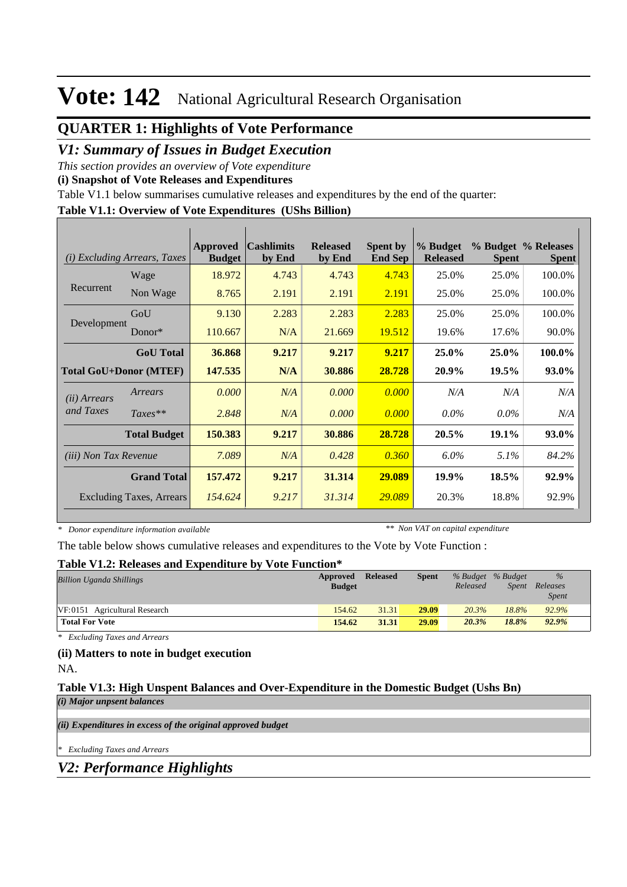## **QUARTER 1: Highlights of Vote Performance**

### *V1: Summary of Issues in Budget Execution*

*This section provides an overview of Vote expenditure* 

**(i) Snapshot of Vote Releases and Expenditures**

Table V1.1 below summarises cumulative releases and expenditures by the end of the quarter:

### **Table V1.1: Overview of Vote Expenditures (UShs Billion)**

| <b>Excluding Arrears, Taxes</b><br>(i) |                                 | Approved<br><b>Budget</b> | <b>Cashlimits</b><br>by End | <b>Released</b><br>by End | <b>Spent by</b><br><b>End Sep</b> | % Budget<br><b>Released</b> | <b>Spent</b> | % Budget % Releases<br><b>Spent</b> |
|----------------------------------------|---------------------------------|---------------------------|-----------------------------|---------------------------|-----------------------------------|-----------------------------|--------------|-------------------------------------|
| Recurrent<br>Development               | Wage                            | 18.972                    | 4.743                       | 4.743                     | 4.743                             | 25.0%                       | 25.0%        | 100.0%                              |
|                                        | Non Wage                        | 8.765                     | 2.191                       | 2.191                     | 2.191                             | 25.0%                       | 25.0%        | 100.0%                              |
|                                        | GoU                             | 9.130                     | 2.283                       | 2.283                     | 2.283                             | 25.0%                       | 25.0%        | 100.0%                              |
|                                        | $Donor*$                        | 110.667                   | N/A                         | 21.669                    | 19.512                            | 19.6%                       | 17.6%        | 90.0%                               |
|                                        | <b>GoU</b> Total                | 36.868                    | 9.217                       | 9.217                     | 9.217                             | 25.0%                       | 25.0%        | 100.0%                              |
| <b>Total GoU+Donor (MTEF)</b>          |                                 | 147.535                   | N/A                         | 30.886                    | 28.728                            | 20.9%                       | 19.5%        | 93.0%                               |
| ( <i>ii</i> ) Arrears                  | Arrears                         | 0.000                     | N/A                         | 0.000                     | 0.000                             | N/A                         | N/A          | N/A                                 |
| and Taxes                              | $Taxes**$                       | 2.848                     | N/A                         | 0.000                     | 0.000                             | $0.0\%$                     | $0.0\%$      | N/A                                 |
|                                        | <b>Total Budget</b>             | 150.383                   | 9.217                       | 30.886                    | 28.728                            | 20.5%                       | 19.1%        | 93.0%                               |
| <i>(iii)</i> Non Tax Revenue           |                                 | 7.089                     | N/A                         | 0.428                     | 0.360                             | $6.0\%$                     | $5.1\%$      | 84.2%                               |
| <b>Grand Total</b>                     |                                 | 157.472                   | 9.217                       | 31.314                    | 29,089                            | 19.9%                       | 18.5%        | 92.9%                               |
|                                        | <b>Excluding Taxes, Arrears</b> | 154.624                   | 9.217                       | 31.314                    | 29.089                            | 20.3%                       | 18.8%        | 92.9%                               |

*\* Donor expenditure information available*

*\*\* Non VAT on capital expenditure*

The table below shows cumulative releases and expenditures to the Vote by Vote Function :

#### **Table V1.2: Releases and Expenditure by Vote Function\***

| <b>Billion Uganda Shillings</b> | Approved<br><b>Budget</b> | <b>Released</b> | <b>Spent</b> | Released | % Budget % Budget | $\%$<br>Spent Releases<br><b>Spent</b> |  |
|---------------------------------|---------------------------|-----------------|--------------|----------|-------------------|----------------------------------------|--|
| VF:0151 Agricultural Research   |                           | 31.31<br>154.62 | 29.09        | 20.3%    | 18.8%             | 92.9%                                  |  |
| <b>Total For Vote</b>           |                           | 154.62<br>31.31 | 29.09        | 20.3%    | 18.8%             | 92.9%                                  |  |

*\* Excluding Taxes and Arrears*

## **(ii) Matters to note in budget execution**

NA.

#### **Table V1.3: High Unspent Balances and Over-Expenditure in the Domestic Budget (Ushs Bn)** *(i) Major unpsent balances*

*(ii) Expenditures in excess of the original approved budget*

*\* Excluding Taxes and Arrears*

*V2: Performance Highlights*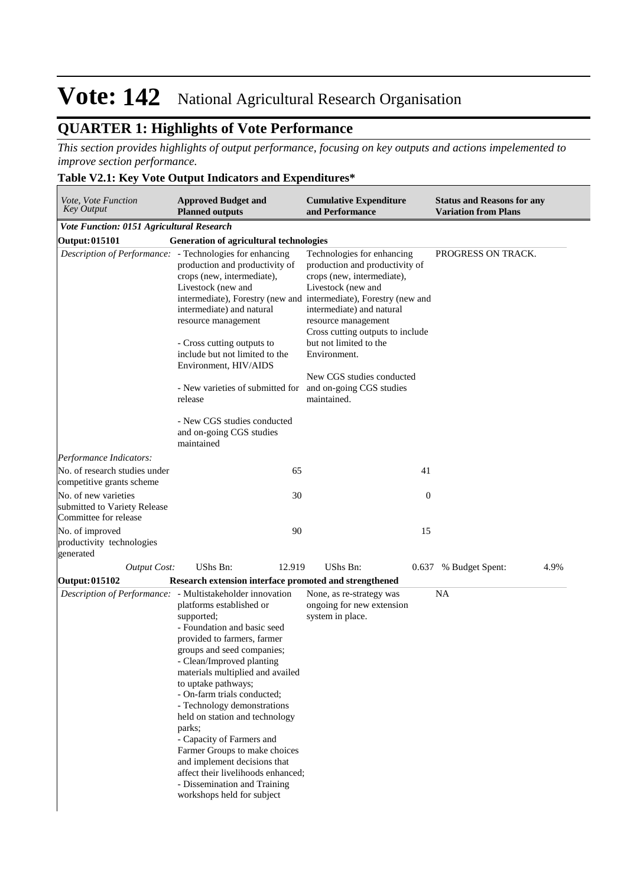## **QUARTER 1: Highlights of Vote Performance**

*This section provides highlights of output performance, focusing on key outputs and actions impelemented to improve section performance.*

### **Table V2.1: Key Vote Output Indicators and Expenditures\***

| Vote, Vote Function<br>Key Output                                             | <b>Approved Budget and</b><br><b>Planned outputs</b>                                                                                                                                                                                                                                                                                                                                                                                                                                                                                                                                                | <b>Cumulative Expenditure</b><br>and Performance                                                                                                                                                                                                                                               | <b>Status and Reasons for any</b><br><b>Variation from Plans</b> |
|-------------------------------------------------------------------------------|-----------------------------------------------------------------------------------------------------------------------------------------------------------------------------------------------------------------------------------------------------------------------------------------------------------------------------------------------------------------------------------------------------------------------------------------------------------------------------------------------------------------------------------------------------------------------------------------------------|------------------------------------------------------------------------------------------------------------------------------------------------------------------------------------------------------------------------------------------------------------------------------------------------|------------------------------------------------------------------|
| Vote Function: 0151 Agricultural Research                                     |                                                                                                                                                                                                                                                                                                                                                                                                                                                                                                                                                                                                     |                                                                                                                                                                                                                                                                                                |                                                                  |
| Output: 015101                                                                | <b>Generation of agricultural technologies</b>                                                                                                                                                                                                                                                                                                                                                                                                                                                                                                                                                      |                                                                                                                                                                                                                                                                                                |                                                                  |
| Description of Performance: - Technologies for enhancing                      | production and productivity of<br>crops (new, intermediate),<br>Livestock (new and<br>intermediate), Forestry (new and intermediate), Forestry (new and<br>intermediate) and natural<br>resource management<br>- Cross cutting outputs to<br>include but not limited to the<br>Environment, HIV/AIDS<br>- New varieties of submitted for and on-going CGS studies<br>release<br>- New CGS studies conducted<br>and on-going CGS studies                                                                                                                                                             | Technologies for enhancing<br>production and productivity of<br>crops (new, intermediate),<br>Livestock (new and<br>intermediate) and natural<br>resource management<br>Cross cutting outputs to include<br>but not limited to the<br>Environment.<br>New CGS studies conducted<br>maintained. | PROGRESS ON TRACK.                                               |
|                                                                               | maintained                                                                                                                                                                                                                                                                                                                                                                                                                                                                                                                                                                                          |                                                                                                                                                                                                                                                                                                |                                                                  |
| Performance Indicators:                                                       |                                                                                                                                                                                                                                                                                                                                                                                                                                                                                                                                                                                                     |                                                                                                                                                                                                                                                                                                |                                                                  |
| No. of research studies under<br>competitive grants scheme                    | 65                                                                                                                                                                                                                                                                                                                                                                                                                                                                                                                                                                                                  | 41                                                                                                                                                                                                                                                                                             |                                                                  |
| No. of new varieties<br>submitted to Variety Release<br>Committee for release | 30                                                                                                                                                                                                                                                                                                                                                                                                                                                                                                                                                                                                  |                                                                                                                                                                                                                                                                                                | $\theta$                                                         |
| No. of improved<br>productivity technologies<br>generated                     | 90                                                                                                                                                                                                                                                                                                                                                                                                                                                                                                                                                                                                  | 15                                                                                                                                                                                                                                                                                             |                                                                  |
| <b>Output Cost:</b>                                                           | UShs Bn:<br>12.919                                                                                                                                                                                                                                                                                                                                                                                                                                                                                                                                                                                  | UShs Bn:<br>0.637                                                                                                                                                                                                                                                                              | 4.9%<br>% Budget Spent:                                          |
| Output: 015102                                                                | Research extension interface promoted and strengthened                                                                                                                                                                                                                                                                                                                                                                                                                                                                                                                                              |                                                                                                                                                                                                                                                                                                |                                                                  |
|                                                                               | Description of Performance: - Multistakeholder innovation<br>platforms established or<br>supported;<br>- Foundation and basic seed<br>provided to farmers, farmer<br>groups and seed companies;<br>- Clean/Improved planting<br>materials multiplied and availed<br>to uptake pathways;<br>- On-farm trials conducted;<br>- Technology demonstrations<br>held on station and technology<br>parks;<br>- Capacity of Farmers and<br>Farmer Groups to make choices<br>and implement decisions that<br>affect their livelihoods enhanced;<br>- Dissemination and Training<br>workshops held for subject | None, as re-strategy was<br>ongoing for new extension<br>system in place.                                                                                                                                                                                                                      | <b>NA</b>                                                        |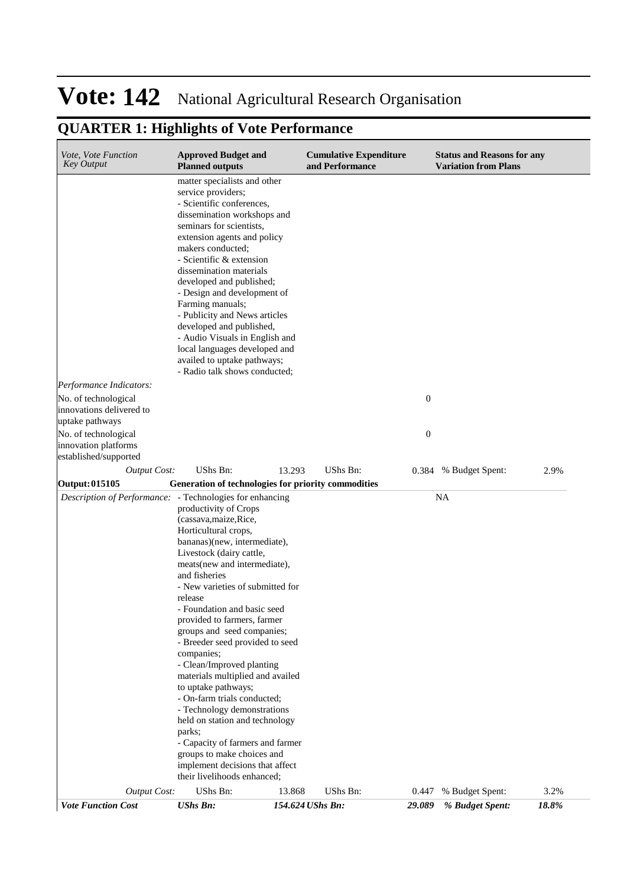## **QUARTER 1: Highlights of Vote Performance**

| Vote, Vote Function<br><b>Key Output</b>                              | <b>Approved Budget and</b><br><b>Planned outputs</b>                                                                                                                                                                                                                                                                                                                                                                                                                                                                                                                                                                                                                                                                   |                  | <b>Cumulative Expenditure</b><br>and Performance |                  | <b>Status and Reasons for any</b><br><b>Variation from Plans</b> |       |
|-----------------------------------------------------------------------|------------------------------------------------------------------------------------------------------------------------------------------------------------------------------------------------------------------------------------------------------------------------------------------------------------------------------------------------------------------------------------------------------------------------------------------------------------------------------------------------------------------------------------------------------------------------------------------------------------------------------------------------------------------------------------------------------------------------|------------------|--------------------------------------------------|------------------|------------------------------------------------------------------|-------|
|                                                                       | matter specialists and other<br>service providers;<br>- Scientific conferences,<br>dissemination workshops and<br>seminars for scientists,<br>extension agents and policy<br>makers conducted;<br>- Scientific & extension<br>dissemination materials<br>developed and published;<br>- Design and development of<br>Farming manuals;<br>- Publicity and News articles<br>developed and published,<br>- Audio Visuals in English and<br>local languages developed and<br>availed to uptake pathways;<br>- Radio talk shows conducted;                                                                                                                                                                                   |                  |                                                  |                  |                                                                  |       |
| Performance Indicators:                                               |                                                                                                                                                                                                                                                                                                                                                                                                                                                                                                                                                                                                                                                                                                                        |                  |                                                  |                  |                                                                  |       |
| No. of technological<br>innovations delivered to<br>uptake pathways   |                                                                                                                                                                                                                                                                                                                                                                                                                                                                                                                                                                                                                                                                                                                        |                  |                                                  | $\boldsymbol{0}$ |                                                                  |       |
| No. of technological<br>innovation platforms<br>established/supported |                                                                                                                                                                                                                                                                                                                                                                                                                                                                                                                                                                                                                                                                                                                        |                  |                                                  | $\mathbf{0}$     |                                                                  |       |
| <b>Output Cost:</b>                                                   | <b>UShs Bn:</b>                                                                                                                                                                                                                                                                                                                                                                                                                                                                                                                                                                                                                                                                                                        | 13.293           | <b>UShs Bn:</b>                                  | 0.384            | % Budget Spent:                                                  | 2.9%  |
| Output: 015105                                                        | Generation of technologies for priority commodities                                                                                                                                                                                                                                                                                                                                                                                                                                                                                                                                                                                                                                                                    |                  |                                                  |                  |                                                                  |       |
| Description of Performance: - Technologies for enhancing              | productivity of Crops<br>(cassava, maize, Rice,<br>Horticultural crops,<br>bananas)(new, intermediate),<br>Livestock (dairy cattle,<br>meats(new and intermediate),<br>and fisheries<br>- New varieties of submitted for<br>release<br>- Foundation and basic seed<br>provided to farmers, farmer<br>groups and seed companies;<br>- Breeder seed provided to seed<br>companies;<br>- Clean/Improved planting<br>materials multiplied and availed<br>to uptake pathways;<br>- On-farm trials conducted;<br>- Technology demonstrations<br>held on station and technology<br>parks;<br>- Capacity of farmers and farmer<br>groups to make choices and<br>implement decisions that affect<br>their livelihoods enhanced; |                  |                                                  |                  | <b>NA</b>                                                        |       |
| <b>Output Cost:</b>                                                   | <b>UShs Bn:</b>                                                                                                                                                                                                                                                                                                                                                                                                                                                                                                                                                                                                                                                                                                        | 13.868           | UShs Bn:                                         | 0.447            | % Budget Spent:                                                  | 3.2%  |
| <b>Vote Function Cost</b>                                             | <b>UShs Bn:</b>                                                                                                                                                                                                                                                                                                                                                                                                                                                                                                                                                                                                                                                                                                        | 154.624 UShs Bn: |                                                  | 29.089           | % Budget Spent:                                                  | 18.8% |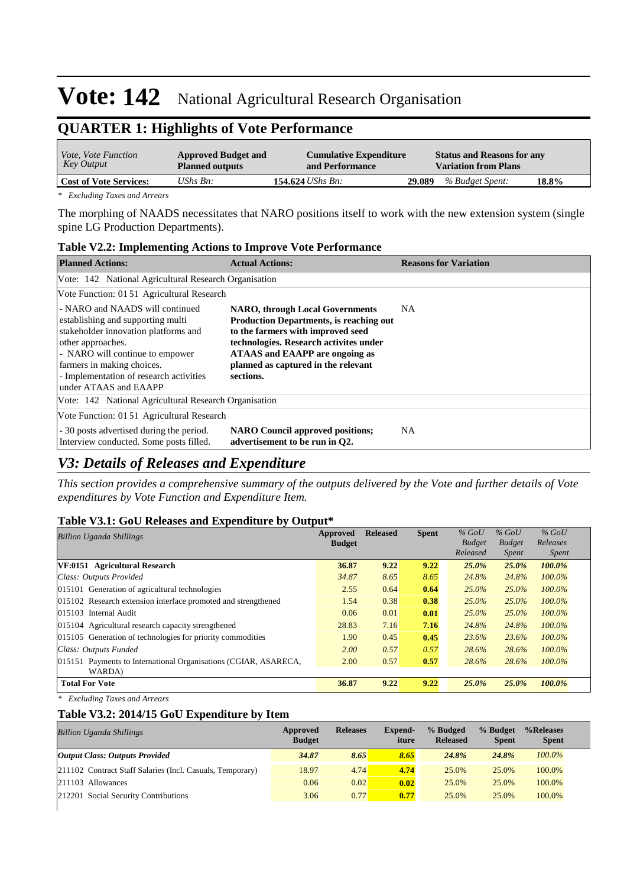## **QUARTER 1: Highlights of Vote Performance**

| <i>Vote, Vote Function</i><br>Key Output | <b>Approved Budget and</b><br><b>Planned outputs</b> | <b>Cumulative Expenditure</b><br>and Performance |        | <b>Status and Reasons for any</b><br><b>Variation from Plans</b> |       |
|------------------------------------------|------------------------------------------------------|--------------------------------------------------|--------|------------------------------------------------------------------|-------|
| <b>Cost of Vote Services:</b>            | UShs $B_n$ :                                         | 154.624 <i>UShs Bn</i> :                         | 29.089 | % Budget Spent:                                                  | 18.8% |

*\* Excluding Taxes and Arrears*

The morphing of NAADS necessitates that NARO positions itself to work with the new extension system (single spine LG Production Departments).

|                                                                                                                                                                                                                                                                         | <b>Table V2.2: Implementing Actions to Improve Vote Performance</b>                                                                                                                                                                                                         |                              |  |  |  |  |  |  |
|-------------------------------------------------------------------------------------------------------------------------------------------------------------------------------------------------------------------------------------------------------------------------|-----------------------------------------------------------------------------------------------------------------------------------------------------------------------------------------------------------------------------------------------------------------------------|------------------------------|--|--|--|--|--|--|
| <b>Planned Actions:</b>                                                                                                                                                                                                                                                 | <b>Actual Actions:</b>                                                                                                                                                                                                                                                      | <b>Reasons for Variation</b> |  |  |  |  |  |  |
| Vote: 142 National Agricultural Research Organisation                                                                                                                                                                                                                   |                                                                                                                                                                                                                                                                             |                              |  |  |  |  |  |  |
| Vote Function: 01 51 Agricultural Research                                                                                                                                                                                                                              |                                                                                                                                                                                                                                                                             |                              |  |  |  |  |  |  |
| - NARO and NAADS will continued<br>establishing and supporting multi-<br>stakeholder innovation platforms and<br>other approaches.<br>- NARO will continue to empower<br>farmers in making choices.<br>- Implementation of research activities<br>under ATAAS and EAAPP | <b>NARO, through Local Governments</b><br><b>Production Departments, is reaching out</b><br>to the farmers with improved seed<br>technologies. Research activites under<br><b>ATAAS</b> and <b>EAAPP</b> are ongoing as<br>planned as captured in the relevant<br>sections. | NA.                          |  |  |  |  |  |  |
| Vote: 142 National Agricultural Research Organisation                                                                                                                                                                                                                   |                                                                                                                                                                                                                                                                             |                              |  |  |  |  |  |  |
| Vote Function: 01 51 Agricultural Research                                                                                                                                                                                                                              |                                                                                                                                                                                                                                                                             |                              |  |  |  |  |  |  |
| - 30 posts advertised during the period.<br>Interview conducted. Some posts filled.                                                                                                                                                                                     | <b>NARO Council approved positions;</b><br>advertisement to be run in O2.                                                                                                                                                                                                   | NA.                          |  |  |  |  |  |  |

### *V3: Details of Releases and Expenditure*

*This section provides a comprehensive summary of the outputs delivered by the Vote and further details of Vote expenditures by Vote Function and Expenditure Item.*

#### **Table V3.1: GoU Releases and Expenditure by Output\***

| <b>Billion Uganda Shillings</b>                                 | <b>Approved</b> | <b>Released</b> | <b>Spent</b> | $%$ GoU                   | $%$ GoU                       | $%$ GoU                  |
|-----------------------------------------------------------------|-----------------|-----------------|--------------|---------------------------|-------------------------------|--------------------------|
|                                                                 | <b>Budget</b>   |                 |              | <b>Budget</b><br>Released | <b>Budget</b><br><i>Spent</i> | Releases<br><i>Spent</i> |
| VF:0151 Agricultural Research                                   | 36.87           | 9.22            | 9.22         | 25.0%                     | 25.0%                         | 100.0%                   |
| Class: Outputs Provided                                         | 34.87           | 8.65            | 8.65         | 24.8%                     | 24.8%                         | $100.0\%$                |
| 015101 Generation of agricultural technologies                  | 2.55            | 0.64            | 0.64         | $25.0\%$                  | $25.0\%$                      | $100.0\%$                |
| 015102 Research extension interface promoted and strengthened   | 1.54            | 0.38            | 0.38         | $25.0\%$                  | 25.0%                         | $100.0\%$                |
| 015103 Internal Audit                                           | 0.06            | 0.01            | 0.01         | $25.0\%$                  | 25.0%                         | $100.0\%$                |
| 015104 Agricultural research capacity strengthened              | 28.83           | 7.16            | 7.16         | 24.8%                     | 24.8%                         | $100.0\%$                |
| 015105 Generation of technologies for priority commodities      | 1.90            | 0.45            | 0.45         | 23.6%                     | 23.6%                         | $100.0\%$                |
| Class: Outputs Funded                                           | 2.00            | 0.57            | 0.57         | 28.6%                     | 28.6%                         | $100.0\%$                |
| 015151 Payments to International Organisations (CGIAR, ASARECA, | 2.00            | 0.57            | 0.57         | 28.6%                     | 28.6%                         | $100.0\%$                |
| WARDA)                                                          |                 |                 |              |                           |                               |                          |
| <b>Total For Vote</b>                                           | 36.87           | 9.22            | 9.22         | 25.0%                     | 25.0%                         | 100.0%                   |
|                                                                 |                 |                 |              |                           |                               |                          |

*\* Excluding Taxes and Arrears*

### **Table V3.2: 2014/15 GoU Expenditure by Item**

| <b>Billion Uganda Shillings</b>                           | Approved<br><b>Budget</b> | <b>Releases</b> | <b>Expend-</b><br>iture | % Budged<br><b>Released</b> | % Budget<br><b>Spent</b> | %Releases<br><b>Spent</b> |
|-----------------------------------------------------------|---------------------------|-----------------|-------------------------|-----------------------------|--------------------------|---------------------------|
| <b>Output Class: Outputs Provided</b>                     | 34.87                     | 8.65            | 8.65                    | 24.8%                       | 24.8%                    | $100.0\%$                 |
| 211102 Contract Staff Salaries (Incl. Casuals, Temporary) | 18.97                     | 4.74            | 4.74                    | 25.0%                       | 25.0%                    | 100.0%                    |
| $ 211103$ Allowances                                      | 0.06                      | 0.02            | 0.02                    | 25.0%                       | 25.0%                    | 100.0%                    |
| 212201 Social Security Contributions                      | 3.06                      | 0.77            | 0.77                    | 25.0%                       | 25.0%                    | 100.0%                    |
|                                                           |                           |                 |                         |                             |                          |                           |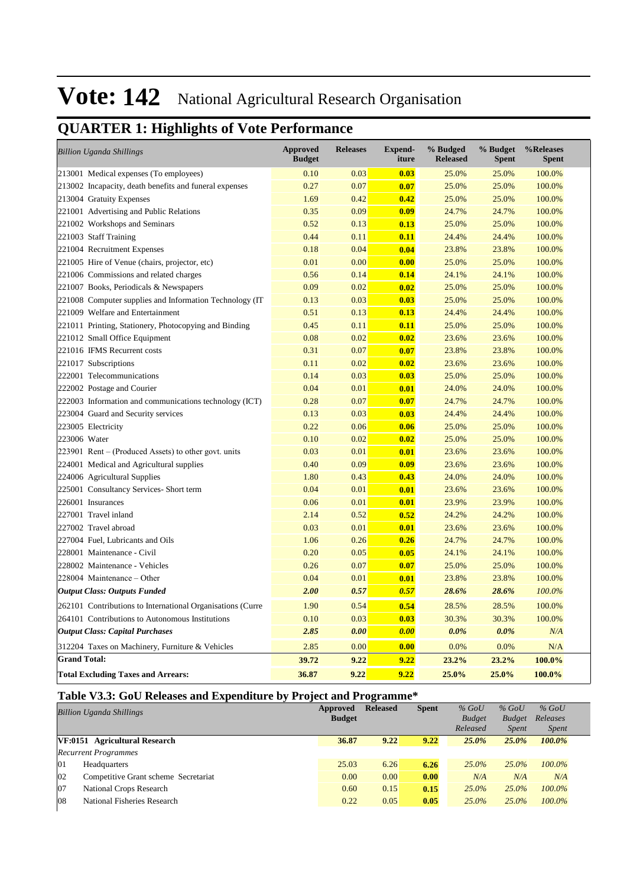## **QUARTER 1: Highlights of Vote Performance**

| <b>Billion Uganda Shillings</b>                            | <b>Approved</b><br><b>Budget</b> | <b>Releases</b> | <b>Expend-</b><br>iture | % Budged<br><b>Released</b> | % Budget<br><b>Spent</b> | %Releases<br><b>Spent</b> |
|------------------------------------------------------------|----------------------------------|-----------------|-------------------------|-----------------------------|--------------------------|---------------------------|
| 213001 Medical expenses (To employees)                     | 0.10                             | 0.03            | 0.03                    | 25.0%                       | 25.0%                    | 100.0%                    |
| 213002 Incapacity, death benefits and funeral expenses     | 0.27                             | 0.07            | 0.07                    | 25.0%                       | 25.0%                    | 100.0%                    |
| 213004 Gratuity Expenses                                   | 1.69                             | 0.42            | 0.42                    | 25.0%                       | 25.0%                    | 100.0%                    |
| 221001 Advertising and Public Relations                    | 0.35                             | 0.09            | 0.09                    | 24.7%                       | 24.7%                    | 100.0%                    |
| 221002 Workshops and Seminars                              | 0.52                             | 0.13            | 0.13                    | 25.0%                       | 25.0%                    | 100.0%                    |
| 221003 Staff Training                                      | 0.44                             | 0.11            | 0.11                    | 24.4%                       | 24.4%                    | 100.0%                    |
| 221004 Recruitment Expenses                                | 0.18                             | 0.04            | 0.04                    | 23.8%                       | 23.8%                    | 100.0%                    |
| 221005 Hire of Venue (chairs, projector, etc)              | 0.01                             | 0.00            | 0.00                    | 25.0%                       | 25.0%                    | 100.0%                    |
| 221006 Commissions and related charges                     | 0.56                             | 0.14            | 0.14                    | 24.1%                       | 24.1%                    | 100.0%                    |
| 221007 Books, Periodicals & Newspapers                     | 0.09                             | 0.02            | 0.02                    | 25.0%                       | 25.0%                    | 100.0%                    |
| 221008 Computer supplies and Information Technology (IT)   | 0.13                             | 0.03            | 0.03                    | 25.0%                       | 25.0%                    | 100.0%                    |
| 221009 Welfare and Entertainment                           | 0.51                             | 0.13            | 0.13                    | 24.4%                       | 24.4%                    | 100.0%                    |
| 221011 Printing, Stationery, Photocopying and Binding      | 0.45                             | 0.11            | 0.11                    | 25.0%                       | 25.0%                    | 100.0%                    |
| 221012 Small Office Equipment                              | 0.08                             | 0.02            | 0.02                    | 23.6%                       | 23.6%                    | 100.0%                    |
| 221016 IFMS Recurrent costs                                | 0.31                             | 0.07            | 0.07                    | 23.8%                       | 23.8%                    | 100.0%                    |
| 221017 Subscriptions                                       | 0.11                             | 0.02            | 0.02                    | 23.6%                       | 23.6%                    | 100.0%                    |
| 222001 Telecommunications                                  | 0.14                             | 0.03            | 0.03                    | 25.0%                       | 25.0%                    | 100.0%                    |
| 222002 Postage and Courier                                 | 0.04                             | 0.01            | 0.01                    | 24.0%                       | 24.0%                    | 100.0%                    |
| 222003 Information and communications technology (ICT)     | 0.28                             | 0.07            | 0.07                    | 24.7%                       | 24.7%                    | 100.0%                    |
| 223004 Guard and Security services                         | 0.13                             | 0.03            | 0.03                    | 24.4%                       | 24.4%                    | 100.0%                    |
| 223005 Electricity                                         | 0.22                             | 0.06            | 0.06                    | 25.0%                       | 25.0%                    | 100.0%                    |
| 223006 Water                                               | 0.10                             | 0.02            | 0.02                    | 25.0%                       | 25.0%                    | 100.0%                    |
| 223901 Rent – (Produced Assets) to other govt. units       | 0.03                             | 0.01            | 0.01                    | 23.6%                       | 23.6%                    | 100.0%                    |
| 224001 Medical and Agricultural supplies                   | 0.40                             | 0.09            | 0.09                    | 23.6%                       | 23.6%                    | 100.0%                    |
| 224006 Agricultural Supplies                               | 1.80                             | 0.43            | 0.43                    | 24.0%                       | 24.0%                    | 100.0%                    |
| 225001 Consultancy Services-Short term                     | 0.04                             | 0.01            | 0.01                    | 23.6%                       | 23.6%                    | 100.0%                    |
| 226001 Insurances                                          | 0.06                             | 0.01            | 0.01                    | 23.9%                       | 23.9%                    | 100.0%                    |
| 227001 Travel inland                                       | 2.14                             | 0.52            | 0.52                    | 24.2%                       | 24.2%                    | 100.0%                    |
| 227002 Travel abroad                                       | 0.03                             | 0.01            | 0.01                    | 23.6%                       | 23.6%                    | 100.0%                    |
| 227004 Fuel, Lubricants and Oils                           | 1.06                             | 0.26            | 0.26                    | 24.7%                       | 24.7%                    | 100.0%                    |
| 228001 Maintenance - Civil                                 | 0.20                             | 0.05            | 0.05                    | 24.1%                       | 24.1%                    | 100.0%                    |
| 228002 Maintenance - Vehicles                              | 0.26                             | 0.07            | 0.07                    | 25.0%                       | 25.0%                    | 100.0%                    |
| 228004 Maintenance - Other                                 | 0.04                             | 0.01            | 0.01                    | 23.8%                       | 23.8%                    | 100.0%                    |
| <b>Output Class: Outputs Funded</b>                        | 2.00                             | 0.57            | 0.57                    | 28.6%                       | 28.6%                    | 100.0%                    |
| 262101 Contributions to International Organisations (Curre | 1.90                             | 0.54            | 0.54                    | 28.5%                       | 28.5%                    | 100.0%                    |
| 264101 Contributions to Autonomous Institutions            | 0.10                             | 0.03            | 0.03                    | 30.3%                       | 30.3%                    | 100.0%                    |
| <b>Output Class: Capital Purchases</b>                     | 2.85                             | 0.00            | 0.00                    | $0.0\%$                     | $0.0\%$                  | N/A                       |
| 312204 Taxes on Machinery, Furniture & Vehicles            | 2.85                             | 0.00            | 0.00                    | 0.0%                        | 0.0%                     | N/A                       |
| <b>Grand Total:</b>                                        | 39.72                            | 9.22            | 9.22                    | 23.2%                       | 23.2%                    | 100.0%                    |
| <b>Total Excluding Taxes and Arrears:</b>                  | 36.87                            | 9.22            | 9.22                    | 25.0%                       | 25.0%                    | 100.0%                    |

### **Table V3.3: GoU Releases and Expenditure by Project and Programme\***

| <b>Billion Uganda Shillings</b>            | Approved<br><b>Budget</b> | <b>Released</b> | <b>Spent</b> | $%$ GoU<br><b>Budget</b><br>Released | $%$ GoU<br><b>Budget</b><br><i>Spent</i> | $%$ GoU<br>Releases<br><i>Spent</i> |
|--------------------------------------------|---------------------------|-----------------|--------------|--------------------------------------|------------------------------------------|-------------------------------------|
| VF:0151 Agricultural Research              | 36.87                     | 9.22            | 9.22         | 25.0%                                | 25.0%                                    | 100.0%                              |
| <b>Recurrent Programmes</b>                |                           |                 |              |                                      |                                          |                                     |
| 01<br>Headquarters                         | 25.03                     | 6.26            | 6.26         | $25.0\%$                             | $25.0\%$                                 | 100.0%                              |
| 02<br>Competitive Grant scheme Secretariat | 0.00                      | 0.00            | 0.00         | N/A                                  | N/A                                      | N/A                                 |
| 07<br>National Crops Research              | 0.60                      | 0.15            | 0.15         | $25.0\%$                             | $25.0\%$                                 | $100.0\%$                           |
| 08<br>National Fisheries Research          | 0.22                      | 0.05            | 0.05         | $25.0\%$                             | $25.0\%$                                 | 100.0%                              |